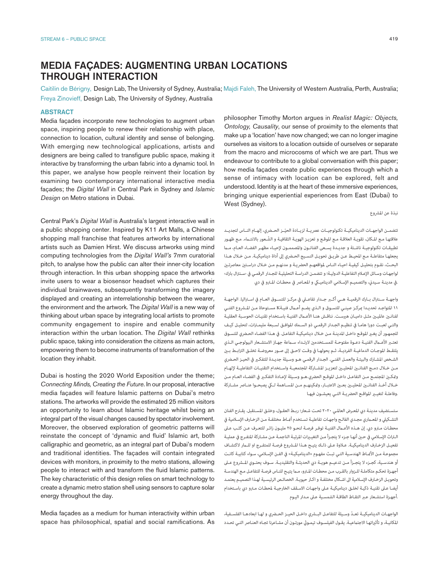# MEDIA FAÇADES: AUGMENTING URBAN LOCATIONS THROUGH INTERACTION

Caitilin de Bérigny, Design Lab, The University of Sydney, Australia; Majdi Faleh, The University of Western Australia, Perth, Australia; Freya Zinovieff, Design Lab, The University of Sydney, Australia

# **ABSTRACT**

Media façades incorporate new technologies to augment urban space, inspiring people to renew their relationship with place, connection to location, cultural identity and sense of belonging. With emerging new technological applications, artists and designers are being called to transfigure public space, making it interactive by transforming the urban fabric into a dynamic tool. In this paper, we analyse how people reinvent their location by examining two contemporary international interactive media façades; the *Digital Wall* in Central Park in Sydney and *Islamic Design* on Metro stations in Dubai.

Central Park's *Digital Wall* is Australia's largest interactive wall in a public shopping center. Inspired by K11 Art Malls, a Chinese shopping mall franchise that features artworks by international artists such as Damien Hirst. We discuss artworks using mind computing technologies from the *Digital Wall's* 7mm curatorial pitch, to analyse how the public can alter their inner-city location through interaction. In this urban shopping space the artworks invite users to wear a biosensor headset which captures their individual brainwaves, subsequently transforming the imagery displayed and creating an interrelationship between the wearer, the environment and the artwork. The *Digital Wall* is a new way of thinking about urban space by integrating local artists to promote community engagement to inspire and enable community interaction within the urban location. The *Digital Wall* rethinks public space, taking into consideration the citizens as main actors, empowering them to become instruments of transformation of the location they inhabit.

Dubai is hosting the 2020 World Exposition under the theme; *Connecting Minds, Creating the Future*. In our proposal, interactive media façades will feature Islamic patterns on Dubai's metro stations. The artworks will provide the estimated 25 million visitors an opportunity to learn about Islamic heritage whilst being an integral part of the visual changes caused by spectator involvement. Moreover, the observed exploration of geometric patterns will reinstate the concept of 'dynamic and fluid' Islamic art, both calligraphic and geometric, as an integral part of Dubai's modern and traditional identities. The façades will contain integrated devices with monitors, in proximity to the metro stations, allowing people to interact with and transform the fluid Islamic patterns. The key characteristic of this design relies on smart technology to create a dynamic metro station shell using sensors to capture solar energy throughout the day.

Media façades as a medium for human interactivity within urban space has philosophical, spatial and social ramifications. As philosopher Timothy Morton argues in *Realist Magic: Objects, Ontology, Causality*, our sense of proximity to the elements that make up a 'location' have now changed; we can no longer imagine ourselves as visitors to a location outside of ourselves or separate from the macro and microcosms of which we are part. Thus we endeavour to contribute to a global conversation with this paper; how media façades create public experiences through which a sense of intimacy with location can be explored, felt and understood. Identity is at the heart of these immersive experiences, bringing unique experiential experiences from East (Dubai) to West (Sydney).

نبذة عن املرشوع

تتضمــن الواجهــات الديناميكيــة تكنولوجيــات عصريــة لزيــادة الحيّــز الحــضري، إلهــام النــاس لتجديــد عالقتهـا مـع املـكان، تقويـة العالقـة مـع املوقـع و تعزيـز الهويـة الثقافيـة و الشّ ـعور باالنتـاء. مـع ظهـور تطبيقـات تكنولوجيـة ناشـئة و جديـدة يسـعى الفنانـون واملصممـون إلحيـاء مظهـر الفضـاء العـام، مـا يجعلهـا متفاعلـة مـع املحيـط عـن طريـق تحويـل النسـيج الحـري إىل أداة ديناميكيـة. مـن خـال هـذا البحـث، نقـوم بتحليـل كيفيـة احيـاء النـاس لمواقعهـم الحضريـة و مدنهـم مـن خـلال دراسـتين معاصرتـين لواجهـات وسـائل اإلعـام التفاعليـة الدوليـة؛ و تتضمـن الدراسـة التحليليـة للجـدار الرقمـي يف ›سـنرتال بارك‹ .في مدينـة سـيدني، والتصميـم الإسـلامي الديناميـكي و المعـاصر في محطـات المـترو في دي

واجهــة ســنرتال بــارك الرقميــة هــي أكــر جــدار تفاعــي يف مركــز للتســوق العــام يف اســراليا. الواجهــة 11 املتواجـد تحديـدا مبركـز صينـي للتسـوق و الـذي يضـم أعـال فنيـةK مسـتوحاة مـن املـروع الفنـي لفنانـن عامليـن مثـل داميـان هريسـت. نناقـش هنـا األعـال الفنيـة باسـتخدام تقنيـات الحوسـبة العقليـة والتـي لعبـت دورا هامـا يف تنظيـم الجـدار الرقمـي ذو السـمك املوافـق لسـبعة مليمـرات، لتحليـل كيـف للجمهـور أن يغـر املوقـع داخـل املدينـة مـن خـال ديناميكيـة التفاعـل. يف هـذا الفضـاء الحـري للتسـوق تعتـر األعـال الفنيـة دعـوة مفتوحـة للمسـتخدمني الرتـداء سـاعة جهـاز االستشـعار البيولوجـي الـذي يلتقــط املوجـات الدماغيــة الفرديــة، ثـم يحولهـا يف وقـت الحـق إىل صـور معروضــة تخلـق الرتابــط بـن الشـخص المشـارك والبيئـة والعمـل الفنـي. الجـدار الرقمـي هـو وسـيلة جديـدة للتفكـير في الحيـز الحـضري مــن خــال دمــج الفنانــن املحليــن لتعزيــز املشــاركة املجتمعيــة واســتخدام التقنيــات التفاعليــة إللهــام ومّكـن المجتمـع مـن التفاعـل داخـل الموقـع الحضري.هـو وسـيلة لإعـادة التفكـر في الفضـاء العـام مـن خــال أخــذ الفنانــن املحليــن بعــن االعتبــار، ومتكينهــم مــن املســاهمة لــي يصبحــوا عنــارص مشــاركة .وفاعلـة لتغيـر املواقـع الحرضيـة التـي يعيشـون فيهـا

ستسـتضيف مدينـة ديب املعـرض العاملـي 2020 تحـت شـعار؛ ربـط العقـول، وخلـق املسـتقبل. يقـرح الفنان التشـكييل و املعـاري مجـدي الفالـح واجهـات تفاعليـة تسـتخدم أمنـاط مختلفـة مـن الزخـارف اإلسـامية يف محطـات مـترو دبي. إن هـذه الأعـمال الفنيـة توفـر فرصـة لنحـو ٢٥ مليـون زائـر للتعـرف عـن كثـب عـلى الـراث اإلسـامي يف حـن أنهـا جـزء ال يتجـزأ مـن التغيـرات املرئيـة الناجمـة عـن مشـاركة املتفـرج يف عمليـة تفعيـل الزخـارف الديناميكيـة. عـاوة عـى ذلـك يتيـح هـذا املـروع فرصـة للمتفـرج او للـار الكتشـاف مجموعـة مـن الأمـاط الهندسـية التـي تبـث مفهـوم «الديناميكيـة» في الفـن الإسـلامي، سـواء كتابيـة كانـت أو هندسـية، كجــزء لا يتجــزأ مــن تدعيــم هويــة دي الحديثــة والتقليديــة. ســوف يحتــوي المــشروع عــلى أجهـزة تحكـم متكاملـة للـزوار بالقـرب مـن محطـات المـترو، مـما يتيـح للنـاس فرصـة للتفاعـل مـع الهندسـة وتحويـل الزخـارف اإلسـامية اىل اشـكال مختلفـة و اكـر حيويـة. الخصائـص الرئيسـية لهـذا التصميـم يعتمـد أيضـا عـلى تقنيـة ذكيـة لخلـق ديناميكيـة عـلى واجهـات الاسـقف الخارجيـة لمحطـات مـترو دبي باسـتخدام .أجهـزة استشـعار عـر التقـاط الطاقـة الشمسـية عـى مـدار اليـوم

ّ الواجهــات الديناميكيــة تعــد وســيلة للتفاعــل البــري داخــل الحيــز الحــري و لهــا ابعادهــا الفلســفية، المكانيـة، و تأثيراتهـا الاجتماعيـة. يقـول الفيلسـوف تيمـوثي مورتـون أن مشـاعرنا تجـاه العنـاصر التـي تحـدد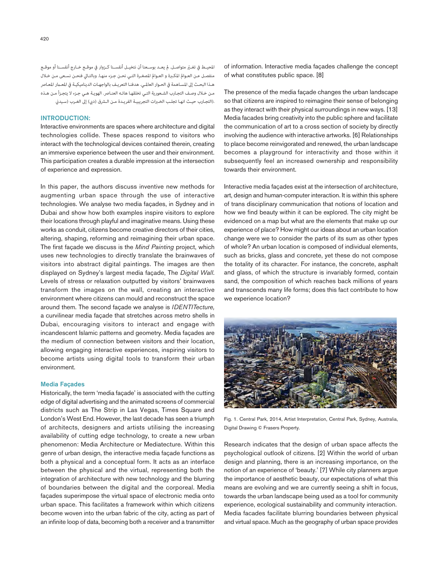املحيــط يف تغــّر متواصــل. مل يعــد بوســعنا أن نتخيــل أنفســنا كــزوار يف موقــع خــارج أنفســنا أو موقــع منفصـل عـن العـوامل املكـرة و العـوامل املصغـرة التـي نحـن جـزء منهـا. وبالتـايل فنحـن نسـعى مـن خـال هـذا البحـث إلى المسـاهمة في الحـوار العالمـي. هدفنـا التعريـف بالواجهـات الديناميكيـة في المعـمار المعـاصر مـن خـال وصـف التجـارب الشـعورية التـي تخلقهـا هاتـه العنـارص. الهويـة هـي جـزء ال يتجـزأ مـن هـذه .(التجـارب حيـث انهـا تجلـب الخـبرات التجريبيـة الفريـدة مـن الـشرق (دبي) إلى الغـرب (سـيدني

# INTRODUCTION:

Interactive environments are spaces where architecture and digital technologies collide. These spaces respond to visitors who interact with the technological devices contained therein, creating an immersive experience between the user and their environment. This participation creates a durable impression at the intersection of experience and expression.

In this paper, the authors discuss inventive new methods for augmenting urban space through the use of interactive technologies. We analyse two media façades, in Sydney and in Dubai and show how both examples inspire visitors to explore their locations through playful and imaginative means. Using these works as conduit, citizens become creative directors of their cities, altering, shaping, reforming and reimagining their urban space. The first façade we discuss is the *Mind Painting* project, which uses new technologies to directly translate the brainwaves of visitors into abstract digital paintings. The images are then displayed on Sydney's largest media façade, The *Digital Wall*. Levels of stress or relaxation outputted by visitors' brainwaves transform the images on the wall, creating an interactive environment where citizens can mould and reconstruct the space around them. The second façade we analyse is *IDENTITecture,* a curvilinear media façade that stretches across metro shells in Dubai, encouraging visitors to interact and engage with incandescent Islamic patterns and geometry. Media façades are the medium of connection between visitors and their location, allowing engaging interactive experiences, inspiring visitors to become artists using digital tools to transform their urban environment.

# Media Façades

Historically, the term 'media façade' is associated with the cutting edge of digital advertising and the animated screens of commercial districts such as The Strip in Las Vegas, Times Square and London's West End. However, the last decade has seen a triumph of architects, designers and artists utilising the increasing availability of cutting edge technology, to create a new urban phenomenon: Media Architecture or Mediatecture. Within this genre of urban design, the interactive media façade functions as both a physical and a conceptual form. It acts as an interface between the physical and the virtual, representing both the integration of architecture with new technology and the blurring of boundaries between the digital and the corporeal. Media façades superimpose the virtual space of electronic media onto urban space. This facilitates a framework within which citizens become woven into the urban fabric of the city, acting as part of an infinite loop of data, becoming both a receiver and a transmitter of information. Interactive media façades challenge the concept of what constitutes public space. [8]

The presence of the media façade changes the urban landscape so that citizens are inspired to reimagine their sense of belonging as they interact with their physical surroundings in new ways. [13] Media facades bring creativity into the public sphere and facilitate the communication of art to a cross section of society by directly involving the audience with interactive artworks. [6] Relationships to place become reinvigorated and renewed, the urban landscape becomes a playground for interactivity and those within it subsequently feel an increased ownership and responsibility towards their environment.

Interactive media façades exist at the intersection of architecture, art, design and human-computer interaction. It is within this sphere of trans disciplinary communication that notions of location and how we find beauty within it can be explored. The city might be evidenced on a map but what are the elements that make up our experience of place? How might our ideas about an urban location change were we to consider the parts of its sum as other types of whole? An urban location is composed of individual elements, such as bricks, glass and concrete, yet these do not compose the totality of its character. For instance, the concrete, asphalt and glass, of which the structure is invariably formed, contain sand, the composition of which reaches back millions of years and transcends many life forms; does this fact contribute to how we experience location?



Fig. 1. Central Park, 2014, Artist Interpretation, Central Park, Sydney, Australia, Digital Drawing © Frasers Property.

Research indicates that the design of urban space affects the psychological outlook of citizens. [2] Within the world of urban design and planning, there is an increasing importance, on the notion of an experience of 'beauty.' [7] While city planners argue the importance of aesthetic beauty, our expectations of what this means are evolving and we are currently seeing a shift in focus, towards the urban landscape being used as a tool for community experience, ecological sustainability and community interaction. Media facades facilitate blurring boundaries between physical and virtual space. Much as the geography of urban space provides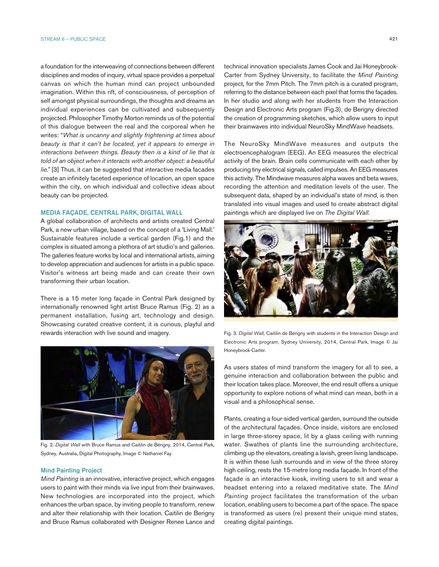a foundation for the interweaving of connections between different disciplines and modes of inquiry, virtual space provides a perpetual canvas on which the human mind can project unbounded imagination. Within this rift, of consciousness, of perception of self amongst physical surroundings, the thoughts and dreams an individual experiences can be cultivated and subsequently projected. Philosopher Timothy Morton reminds us of the potential of this dialogue between the real and the corporeal when he writes: "*What is uncanny and slightly frightening at times about beauty is that it can't be located, yet it appears to emerge in interactions between things. Beauty then is a kind of lie that is told of an object when it interacts with another object: a beautiful lie."* [3] Thus, it can be suggested that interactive media facades create an infinitely faceted experience of location, an open space within the city, on which individual and collective ideas about beauty can be projected.

## MEDIA FAÇADE, CENTRAL PARK, DIGITAL WALL

A global collaboration of architects and artists created Central Park, a new urban village, based on the concept of a 'Living Mall.' Sustainable features include a vertical garden (Fig.1) and the complex is situated among a plethora of art studio's and galleries. The galleries feature works by local and international artists, aiming to develop appreciation and audiences for artists in a public space. Visitor's witness art being made and can create their own transforming their urban location.

There is a 15 meter long façade in Central Park designed by internationally renowned light artist Bruce Ramus (Fig. 2) as a permanent installation, fusing art, technology and design. Showcasing curated creative content, it is curious, playful and rewards interaction with live sound and imagery.



Fig. 2. *Digital Wall* with Bruce Ramus and Caitilin de Bérigny, 2014, Central Park, Sydney, Australia, Digital Photography, Image © Nathaniel Fay.

#### Mind Painting Project

*Mind Painting* is an innovative, interactive project, which engages users to paint with their minds via live input from their brainwaves. New technologies are incorporated into the project, which enhances the urban space, by inviting people to transform, renew and alter their relationship with their location. Caitilin de Berigny and Bruce Ramus collaborated with Designer Renee Lance and technical innovation specialists James Cook and Jai Honeybrook-Carter from Sydney University, to facilitate the *Mind Painting*  project*,* for the 7mm Pitch. The 7mm pitch is a curated program, referring to the distance between each pixel that forms the façades. In her studio and along with her students from the Interaction Design and Electronic Arts program (Fig.3), de Berigny directed the creation of programming sketches, which allow users to input their brainwaves into individual NeuroSky MindWave headsets.

The NeuroSky MindWave measures and outputs the electroencephalogram (EEG). An EEG measures the electrical activity of the brain. Brain cells communicate with each other by producing tiny electrical signals, called impulses. An EEG measures this activity. The Mindwave measures alpha waves and beta waves, recording the attention and meditation levels of the user. The subsequent data, shaped by an individual's state of mind, is then translated into visual images and used to create abstract digital paintings which are displayed live on *The Digital Wall*.



Fig. 3. *Digital Wall*, Caitilin de Bérigny with students in the Interaction Design and Electronic Arts program, Sydney University, 2014, Central Park, Image © Jai Honeybrook-Carter.

As users states of mind transform the imagery for all to see, a genuine interaction and collaboration between the public and their location takes place. Moreover, the end result offers a unique opportunity to explore notions of what mind can mean, both in a visual and a philosophical sense.

Plants, creating a four-sided vertical garden, surround the outside of the architectural façades. Once inside, visitors are enclosed in large three-storey space, lit by a glass ceiling with running water. Swathes of plants line the surrounding architecture, climbing up the elevators, creating a lavish, green living landscape. It is within these lush surrounds and in view of the three storey high ceiling, rests the 15-metre long media façade. In front of the façade is an interactive kiosk, inviting users to sit and wear a headset entering into a relaxed meditative state. The *Mind Painting* project facilitates the transformation of the urban location, enabling users to become a part of the space. The space is transformed as users (re) present their unique mind states, creating digital paintings.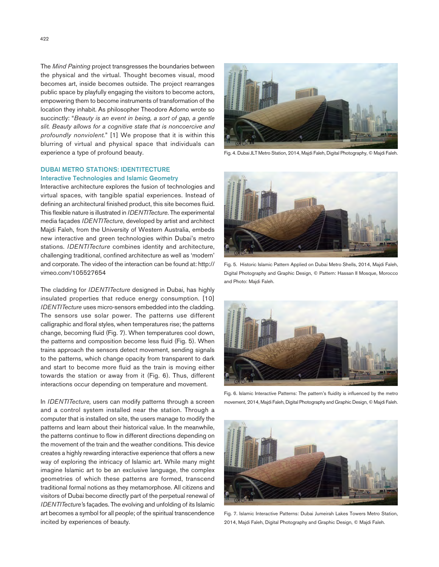The *Mind Painting* project transgresses the boundaries between the physical and the virtual. Thought becomes visual, mood becomes art, inside becomes outside. The project rearranges public space by playfully engaging the visitors to become actors, empowering them to become instruments of transformation of the location they inhabit. As philosopher Theodore Adorno wrote so succinctly: "*Beauty is an event in being, a sort of gap, a gentle slit. Beauty allows for a cognitive state that is noncoercive and profoundly nonviolent.*" [1] We propose that it is within this blurring of virtual and physical space that individuals can experience a type of profound beauty.



Fig. 4. Dubai JLT Metro Station, 2014, Majdi Faleh, Digital Photography, © Majdi Faleh.

# DUBAI METRO STATIONS: IDENTITECTURE

## Interactive Technologies and Islamic Geometry

Interactive architecture explores the fusion of technologies and virtual spaces, with tangible spatial experiences. Instead of defining an architectural finished product, this site becomes fluid. This flexible nature is illustrated in *IDENTITecture*. The experimental media façades *IDENTITecture*, developed by artist and architect Majdi Faleh, from the University of Western Australia, embeds new interactive and green technologies within Dubai's metro stations. *IDENTITecture* combines identity and architecture, challenging traditional, confined architecture as well as 'modern' and corporate. The video of the interaction can be found at: http:// vimeo.com/105527654

The cladding for *IDENTITecture* designed in Dubai, has highly insulated properties that reduce energy consumption. [10] *IDENTITecture* uses micro-sensors embedded into the cladding. The sensors use solar power. The patterns use different calligraphic and floral styles, when temperatures rise; the patterns change, becoming fluid (Fig. 7). When temperatures cool down, the patterns and composition become less fluid (Fig. 5). When trains approach the sensors detect movement, sending signals to the patterns, which change opacity from transparent to dark and start to become more fluid as the train is moving either towards the station or away from it (Fig. 6). Thus, different interactions occur depending on temperature and movement.

In *IDENTITecture,* users can modify patterns through a screen and a control system installed near the station. Through a computer that is installed on site, the users manage to modify the patterns and learn about their historical value. In the meanwhile, the patterns continue to flow in different directions depending on the movement of the train and the weather conditions. This device creates a highly rewarding interactive experience that offers a new way of exploring the intricacy of Islamic art. While many might imagine Islamic art to be an exclusive language, the complex geometries of which these patterns are formed, transcend traditional formal notions as they metamorphose. All citizens and visitors of Dubai become directly part of the perpetual renewal of *IDENTITecture'*s façades. The evolving and unfolding of its Islamic art becomes a symbol for all people; of the spiritual transcendence incited by experiences of beauty.



Fig. 5. Historic Islamic Pattern Applied on Dubai Metro Shells, 2014, Majdi Faleh, Digital Photography and Graphic Design, © Pattern: Hassan II Mosque, Morocco and Photo: Majdi Faleh.



Fig. 6. Islamic Interactive Patterns: The pattern's fluidity is influenced by the metro movement, 2014, Majdi Faleh, Digital Photography and Graphic Design, © Majdi Faleh.



Fig. 7. Islamic Interactive Patterns: Dubai Jumeirah Lakes Towers Metro Station, 2014, Majdi Faleh, Digital Photography and Graphic Design, © Majdi Faleh.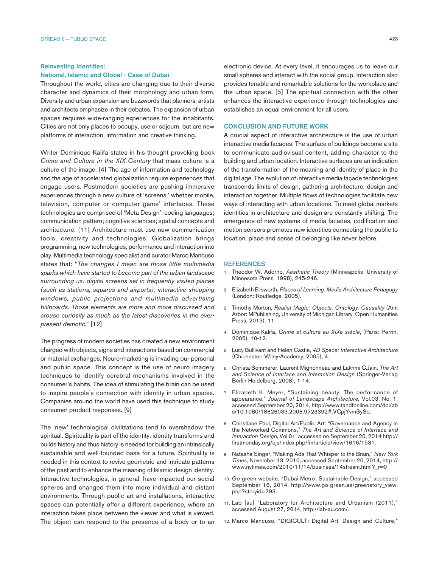## Reinvesting Identities: National, Islamic and Global - Case of Dubai

Throughout the world, cities are changing due to their diverse character and dynamics of their morphology and urban form. Diversity and urban expansion are buzzwords that planners, artists and architects emphasize in their debates. The expansion of urban spaces requires wide-ranging experiences for the inhabitants. Cities are not only places to occupy, use or sojourn, but are new platforms of interaction, information and creative thinking.

Writer Dominique Kalifa states in his thought provoking book *Crime and Culture in the XIX Century* that mass culture is a culture of the image. [4] The age of information and technology and the age of accelerated globalization require experiences that engage users. Postmodern societies are pushing immersive experiences through a new culture of 'screens,' whether mobile, television, computer or computer game' interfaces. These technologies are comprised of 'Meta Design': coding languages; communication pattern; cognitive sciences; spatial concepts and architecture. [11] Architecture must use new communication tools, creativity and technologies. Globalization brings programming, new technologies, performance and interaction into play. Multimedia technology specialist and curator Marco Mancuso states that: "*The changes I mean are those little multimedia sparks which have started to become part of the urban landscape surrounding us: digital screens set in frequently visited places (such as stations, squares and airports), interactive shopping windows, public projections and multimedia advertising billboards. Those elements are more and more discussed and arouse curiosity as much as the latest discoveries in the everpresent demotic.*" [12]

The progress of modern societies has created a new environment charged with objects, signs and interactions based on commercial or material exchanges. Neuro-marketing is invading our personal and public space. This concept is the use of neuro imagery techniques to identify cerebral mechanisms involved in the consumer's habits. The idea of stimulating the brain can be used to inspire people's connection with identity in urban spaces. Companies around the world have used this technique to study consumer product responses. [9]

The 'new' technological civilizations tend to overshadow the spiritual. Spirituality is part of the identity, identity transforms and builds history and thus history is needed for building an intrinsically sustainable and well-founded base for a future. Spirituality is needed in this context to revive geometric and intricate patterns of the past and to enhance the meaning of Islamic design identity. Interactive technologies, in general, have impacted our social spheres and changed them into more individual and distant environments. Through public art and installations, interactive spaces can potentially offer a different experience, where an interaction takes place between the viewer and what is viewed. The object can respond to the presence of a body or to an electronic device. At every level, it encourages us to leave our small spheres and interact with the social group. Interaction also provides tenable and remarkable solutions for the workplace and the urban space. [5] The spiritual connection with the other enhances the interactive experience through technologies and establishes an equal environment for all users.

### CONCLUSION AND FUTURE WORK

A crucial aspect of interactive architecture is the use of urban interactive media facades. The surface of buildings become a site to communicate audiovisual content, adding character to the building and urban location. Interactive surfaces are an indication of the transformation of the meaning and identity of place in the digital age. The evolution of interactive media façade technologies transcends limits of design, gathering architecture, design and interaction together. Multiple flows of technologies facilitate new ways of interacting with urban locations. To meet global markets identities in architecture and design are constantly shifting. The emergence of new systems of media facades, codification and motion sensors promotes new identities connecting the public to location, place and sense of belonging like never before.

#### REFERENCES

- 1. Theodor W. Adorno, *Aesthetic Theory* (Minneapolis: University of Minnesota Press, 1998), 245-246.
- 2. Elizabeth Ellsworth, *Places of Learning. Media Architecture Pedagogy* (London: Routledge, 2005).
- 3. Timothy Morton, *Realist Magic: Objects, Ontology, Causality* (Ann Arbor: MPublishing, University of Michigan Library, Open Humanities Press, 2013), 11.
- 4. Dominique Kalifa, *Crime et culture au XIXe siècle*, (Paris: Perrin, 2005), 10-12.
- 5. Lucy Bullivant and Helen Castle, *4D Space: Interactive Architecture* (Chichester: Wiley-Academy, 2005), 4.
- 6. Christa Sommerer, Laurent Mignonneau and Lakhmi C.Jain, *The Art and Science of Interface and Interaction Design* (Springer-Verlag Berlin Heidelberg, 2008), 1-14.
- 7. Elizabeth K. Meyer, "Sustaining beauty. The performance of appearance," *Journal of Landscape Architecture,* Vol.03, No. 1, accessed September 20, 2014, http://www.tandfonline.com/doi/ab s/10.1080/18626033.2008.9723392#.VCpjYvmSySo.
- 8. Christiane Paul, Digital Art/Public Art: "Governance and Agency in the Networked Commons," *The Art and Science of Interface and Interaction Design,* Vol.01, accessed on September 20, 2014 http:// firstmonday.org/ojs/index.php/fm/article/view/1616/1531.
- 9. Natasha Singer, "Making Ads That Whisper to the Brain," *New York Times*, November 13, 2010, accessed September 20, 2014, http:// www.nytimes.com/2010/11/14/business/14stream.html? r=0
- 10. Go green website, "Dubai Metro: Sustainable Design," accessed September 16, 2014, http://www.go-green.ae/greenstory\_view. php?storyid=793.
- 11. Lab [au] "Laboratory for Architecture and Urbanism (2011)," accessed August 27, 2014, http://lab-au.com/.
- 12. Marco Mancuso, "DIGICULT: Digital Art, Design and Culture,"